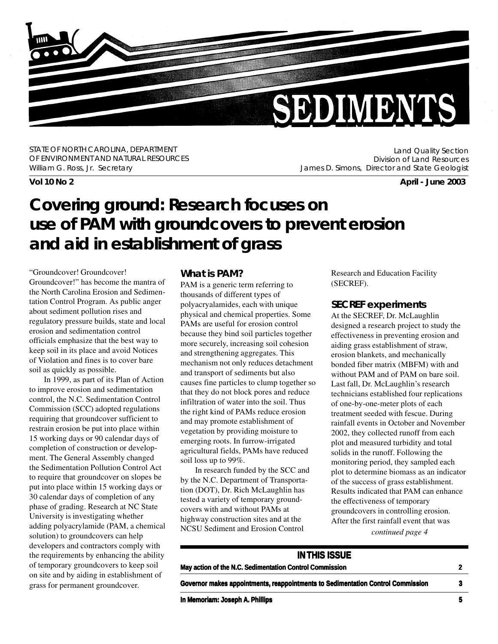

STATE OF NORTH CAROLINA, DEPARTMENT OF ENVIRONMENT AND NATURAL RESOURCES William G. Ross, Jr. Secretary

Land Quality Section Division of Land Resources James D. Simons, Director and State Geologist

**Vol 10 No 2 April - June 2003**

## **Covering ground: Research focuses on use of PAM with groundcovers to prevent erosion and aid in establishment of grass**

"Groundcover! Groundcover! Groundcover!" has become the mantra of the North Carolina Erosion and Sedimentation Control Program. As public anger about sediment pollution rises and regulatory pressure builds, state and local erosion and sedimentation control officials emphasize that the best way to keep soil in its place and avoid Notices of Violation and fines is to cover bare soil as quickly as possible.

In 1999, as part of its Plan of Action to improve erosion and sedimentation control, the N.C. Sedimentation Control Commission (SCC) adopted regulations requiring that groundcover sufficient to restrain erosion be put into place within 15 working days or 90 calendar days of completion of construction or development. The General Assembly changed the Sedimentation Pollution Control Act to require that groundcover on slopes be put into place within 15 working days or 30 calendar days of completion of any phase of grading. Research at NC State University is investigating whether adding polyacrylamide (PAM, a chemical solution) to groundcovers can help developers and contractors comply with the requirements by enhancing the ability of temporary groundcovers to keep soil on site and by aiding in establishment of grass for permanent groundcover.

#### **What is PAM?**

PAM is a generic term referring to thousands of different types of polyacryalamides, each with unique physical and chemical properties. Some PAMs are useful for erosion control because they bind soil particles together more securely, increasing soil cohesion and strengthening aggregates. This mechanism not only reduces detachment and transport of sediments but also causes fine particles to clump together so that they do not block pores and reduce infiltration of water into the soil. Thus the right kind of PAMs reduce erosion and may promote establishment of vegetation by providing moisture to emerging roots. In furrow-irrigated agricultural fields, PAMs have reduced soil loss up to 99%.

In research funded by the SCC and by the N.C. Department of Transportation (DOT), Dr. Rich McLaughlin has tested a variety of temporary groundcovers with and without PAMs at highway construction sites and at the NCSU Sediment and Erosion Control

Research and Education Facility (SECREF).

#### **SECREF experiments**

At the SECREF, Dr. McLaughlin designed a research project to study the effectiveness in preventing erosion and aiding grass establishment of straw, erosion blankets, and mechanically bonded fiber matrix (MBFM) with and without PAM and of PAM on bare soil. Last fall, Dr. McLaughlin's research technicians established four replications of one-by-one-meter plots of each treatment seeded with fescue. During rainfall events in October and November 2002, they collected runoff from each plot and measured turbidity and total solids in the runoff. Following the monitoring period, they sampled each plot to determine biomass as an indicator of the success of grass establishment. Results indicated that PAM can enhance the effectiveness of temporary groundcovers in controlling erosion. After the first rainfall event that was

*continued page 4*

#### **IN THIS ISSUE**

| May action of the N.C. Sedimentation Control Commission                         |  |
|---------------------------------------------------------------------------------|--|
| Governor makes appointments, reappointments to Sedimentation Control Commission |  |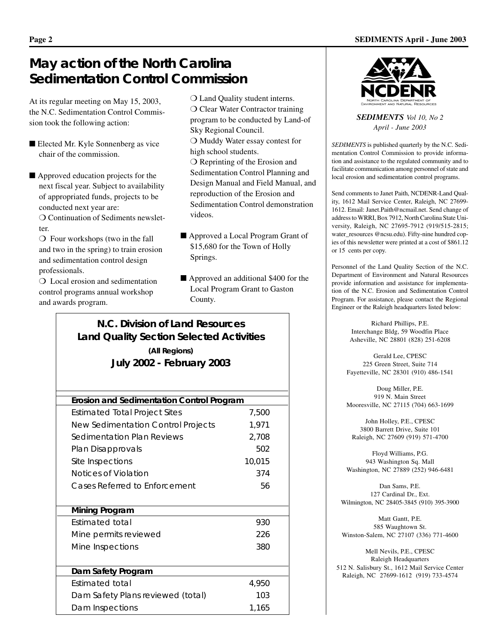### **May action of the North Carolina Sedimentation Control Commission**

At its regular meeting on May 15, 2003, the N.C. Sedimentation Control Commission took the following action:

- Elected Mr. Kyle Sonnenberg as vice chair of the commission.
- Approved education projects for the next fiscal year. Subject to availability of appropriated funds, projects to be conducted next year are:

❍ Continuation of Sediments newsletter.

❍ Four workshops (two in the fall and two in the spring) to train erosion and sedimentation control design professionals.

❍ Local erosion and sedimentation control programs annual workshop and awards program.

- ❍ Land Quality student interns. ❍ Clear Water Contractor training program to be conducted by Land-of Sky Regional Council. ❍ Muddy Water essay contest for high school students. ❍ Reprinting of the Erosion and Sedimentation Control Planning and Design Manual and Field Manual, and reproduction of the Erosion and Sedimentation Control demonstration videos.
- Approved a Local Program Grant of \$15,680 for the Town of Holly Springs.
- Approved an additional \$400 for the Local Program Grant to Gaston County.

### **N.C. Division of Land Resources Land Quality Section Selected Activities (All Regions) July 2002 - February 2003**

| Erosion and Sedimentation Control Program |        |  |
|-------------------------------------------|--------|--|
| Estimated Total Project Sites             | 7,500  |  |
| New Sedimentation Control Projects        | 1,971  |  |
| Sedimentation Plan Reviews                | 2,708  |  |
| Plan Disapprovals                         | 502    |  |
| Site Inspections                          | 10,015 |  |
| Notices of Violation                      | 374    |  |
| Cases Referred to Enforcement             | 56     |  |
|                                           |        |  |
| Mining Program                            |        |  |
| Estimated total                           | 930    |  |
| Mine permits reviewed                     | 226    |  |
| Mine Inspections                          | 380    |  |
|                                           |        |  |
| Dam Safety Program                        |        |  |
| Estimated total                           | 4,950  |  |
| Dam Safety Plans reviewed (total)         | 103    |  |
| Dam Inspections                           | 1,165  |  |



*SEDIMENTS Vol 10, No 2 April - June 2003*

*SEDIMENTS* is published quarterly by the N.C. Sedimentation Control Commission to provide information and assistance to the regulated community and to facilitate communication among personnel of state and local erosion and sedimentation control programs.

Send comments to Janet Paith, NCDENR-Land Quality, 1612 Mail Service Center, Raleigh, NC 27699- 1612. Email: Janet.Paith@ncmail.net. Send change of address to WRRI, Box 7912, North Carolina State University, Raleigh, NC 27695-7912 (919/515-2815; water\_resources @ncsu.edu). Fifty-nine hundred copies of this newsletter were printed at a cost of \$861.12 or 15 cents per copy.

Personnel of the Land Quality Section of the N.C. Department of Environment and Natural Resources provide information and assistance for implementation of the N.C. Erosion and Sedimentation Control Program. For assistance, please contact the Regional Engineer or the Raleigh headquarters listed below:

> Richard Phillips, P.E. Interchange Bldg, 59 Woodfin Place Asheville, NC 28801 (828) 251-6208

Gerald Lee, CPESC 225 Green Street, Suite 714 Fayetteville, NC 28301 (910) 486-1541

Doug Miller, P.E. 919 N. Main Street Mooresville, NC 27115 (704) 663-1699

John Holley, P.E., CPESC 3800 Barrett Drive, Suite 101 Raleigh, NC 27609 (919) 571-4700

Floyd Williams, P.G. 943 Washington Sq. Mall Washington, NC 27889 (252) 946-6481

Dan Sams, P.E. 127 Cardinal Dr., Ext. Wilmington, NC 28405-3845 (910) 395-3900

Matt Gantt, P.E. 585 Waughtown St. Winston-Salem, NC 27107 (336) 771-4600

Mell Nevils, P.E., CPESC Raleigh Headquarters 512 N. Salisbury St., 1612 Mail Service Center Raleigh, NC 27699-1612 (919) 733-4574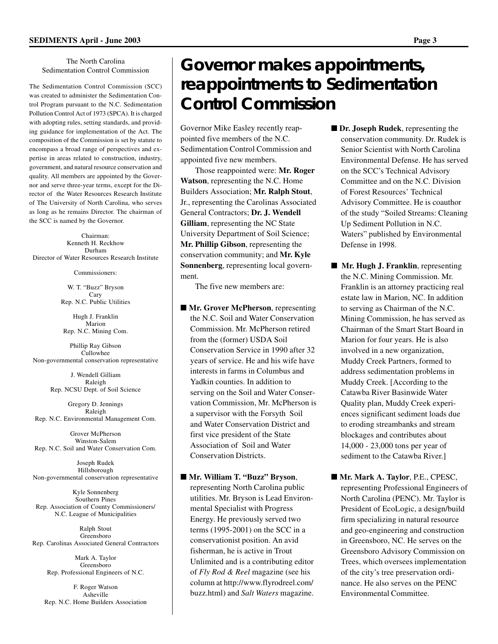#### The North Carolina Sedimentation Control Commission

The Sedimentation Control Commission (SCC) was created to administer the Sedimentation Control Program pursuant to the N.C. Sedimentation Pollution Control Act of 1973 (SPCA). It is charged with adopting rules, setting standards, and providing guidance for implementation of the Act. The composition of the Commission is set by statute to encompass a broad range of perspectives and expertise in areas related to construction, industry, government, and natural resource conservation and quality. All members are appointed by the Governor and serve three-year terms, except for the Director of the Water Resources Research Institute of The University of North Carolina, who serves as long as he remains Director. The chairman of the SCC is named by the Governor.

Chairman: Kenneth H. Reckhow Durham Director of Water Resources Research Institute

Commissioners:

W. T. "Buzz" Bryson Cary Rep. N.C. Public Utilities

Hugh J. Franklin Marion Rep. N.C. Mining Com.

Phillip Ray Gibson Cullowhee Non-governmental conservation representative

> J. Wendell Gilliam Raleigh Rep. NCSU Dept. of Soil Science

Gregory D. Jennings Raleigh Rep. N.C. Environmental Management Com.

Grover McPherson Winston-Salem Rep. N.C. Soil and Water Conservation Com.

Joseph Rudek Hillsborough Non-governmental conservation representative

Kyle Sonnenberg Southern Pines Rep. Association of County Commissioners/ N.C. League of Municipalities

Ralph Stout Greensboro Rep. Carolinas Associated General Contractors

> Mark A. Taylor Greensboro Rep. Professional Engineers of N.C.

F. Roger Watson Asheville Rep. N.C. Home Builders Association

## **Governor makes appointments, reappointments to Sedimentation Control Commission**

Governor Mike Easley recently reappointed five members of the N.C. Sedimentation Control Commission and appointed five new members.

Those reappointed were: **Mr. Roger Watson**, representing the N.C. Home Builders Association; **Mr. Ralph Stout**, Jr., representing the Carolinas Associated General Contractors; **Dr. J. Wendell Gilliam**, representing the NC State University Department of Soil Science; **Mr. Phillip Gibson**, representing the conservation community; and **Mr. Kyle Sonnenberg**, representing local government.

The five new members are:

■ **Mr. Grover McPherson**, representing the N.C. Soil and Water Conservation Commission. Mr. McPherson retired from the (former) USDA Soil Conservation Service in 1990 after 32 years of service. He and his wife have interests in farms in Columbus and Yadkin counties. In addition to serving on the Soil and Water Conservation Commission, Mr. McPherson is a supervisor with the Forsyth Soil and Water Conservation District and first vice president of the State Association of Soil and Water Conservation Districts.

■ Mr. William T. "Buzz" Bryson, representing North Carolina public utilities. Mr. Bryson is Lead Environmental Specialist with Progress Energy. He previously served two terms (1995-2001) on the SCC in a conservationist position. An avid fisherman, he is active in Trout Unlimited and is a contributing editor of *Fly Rod & Reel* magazine (see his column at http://www.flyrodreel.com/ buzz.html) and *Salt Waters* magazine.

- **Dr. Joseph Rudek**, representing the conservation community. Dr. Rudek is Senior Scientist with North Carolina Environmental Defense. He has served on the SCC's Technical Advisory Committee and on the N.C. Division of Forest Resources' Technical Advisory Committee. He is coauthor of the study "Soiled Streams: Cleaning Up Sediment Pollution in N.C. Waters" published by Environmental Defense in 1998.
- **Mr. Hugh J. Franklin**, representing the N.C. Mining Commission. Mr. Franklin is an attorney practicing real estate law in Marion, NC. In addition to serving as Chairman of the N.C. Mining Commission, he has served as Chairman of the Smart Start Board in Marion for four years. He is also involved in a new organization, Muddy Creek Partners, formed to address sedimentation problems in Muddy Creek. [According to the Catawba River Basinwide Water Quality plan, Muddy Creek experiences significant sediment loads due to eroding streambanks and stream blockages and contributes about 14,000 - 23,000 tons per year of sediment to the Catawba River.]
- **Mr. Mark A. Taylor**, P.E., CPESC, representing Professional Engineers of North Carolina (PENC). Mr. Taylor is President of EcoLogic, a design/build firm specializing in natural resource and geo-engineering and construction in Greensboro, NC. He serves on the Greensboro Advisory Commission on Trees, which oversees implementation of the city's tree preservation ordinance. He also serves on the PENC Environmental Committee.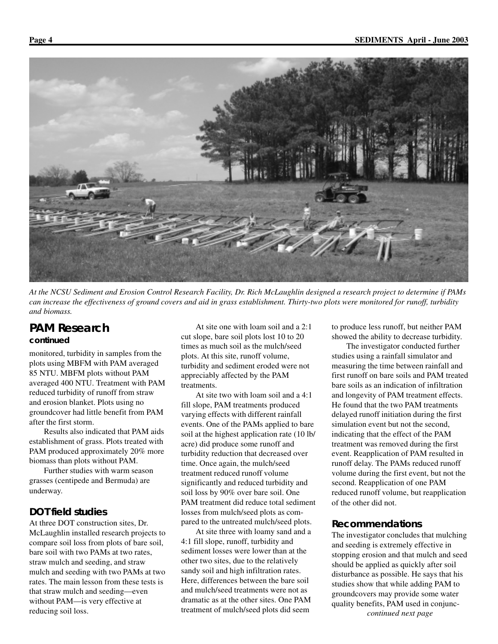

*At the NCSU Sediment and Erosion Control Research Facility, Dr. Rich McLaughlin designed a research project to determine if PAMs can increase the effectiveness of ground covers and aid in grass establishment. Thirty-two plots were monitored for runoff, turbidity and biomass.*

### **PAM Research**

#### *continued*

monitored, turbidity in samples from the plots using MBFM with PAM averaged 85 NTU. MBFM plots without PAM averaged 400 NTU. Treatment with PAM reduced turbidity of runoff from straw and erosion blanket. Plots using no groundcover had little benefit from PAM after the first storm.

Results also indicated that PAM aids establishment of grass. Plots treated with PAM produced approximately 20% more biomass than plots without PAM.

Further studies with warm season grasses (centipede and Bermuda) are underway.

#### **DOT field studies**

At three DOT construction sites, Dr. McLaughlin installed research projects to compare soil loss from plots of bare soil, bare soil with two PAMs at two rates, straw mulch and seeding, and straw mulch and seeding with two PAMs at two rates. The main lesson from these tests is that straw mulch and seeding—even without PAM—is very effective at reducing soil loss.

At site one with loam soil and a 2:1 cut slope, bare soil plots lost 10 to 20 times as much soil as the mulch/seed plots. At this site, runoff volume, turbidity and sediment eroded were not appreciably affected by the PAM treatments.

At site two with loam soil and a 4:1 fill slope, PAM treatments produced varying effects with different rainfall events. One of the PAMs applied to bare soil at the highest application rate (10 lb/ acre) did produce some runoff and turbidity reduction that decreased over time. Once again, the mulch/seed treatment reduced runoff volume significantly and reduced turbidity and soil loss by 90% over bare soil. One PAM treatment did reduce total sediment losses from mulch/seed plots as compared to the untreated mulch/seed plots.

At site three with loamy sand and a 4:1 fill slope, runoff, turbidity and sediment losses were lower than at the other two sites, due to the relatively sandy soil and high infiltration rates. Here, differences between the bare soil and mulch/seed treatments were not as dramatic as at the other sites. One PAM treatment of mulch/seed plots did seem

to produce less runoff, but neither PAM showed the ability to decrease turbidity.

The investigator conducted further studies using a rainfall simulator and measuring the time between rainfall and first runoff on bare soils and PAM treated bare soils as an indication of infiltration and longevity of PAM treatment effects. He found that the two PAM treatments delayed runoff initiation during the first simulation event but not the second, indicating that the effect of the PAM treatment was removed during the first event. Reapplication of PAM resulted in runoff delay. The PAMs reduced runoff volume during the first event, but not the second. Reapplication of one PAM reduced runoff volume, but reapplication of the other did not.

#### **Recommendations**

The investigator concludes that mulching and seeding is extremely effective in stopping erosion and that mulch and seed should be applied as quickly after soil disturbance as possible. He says that his studies show that while adding PAM to groundcovers may provide some water quality benefits, PAM used in conjunc*continued next page*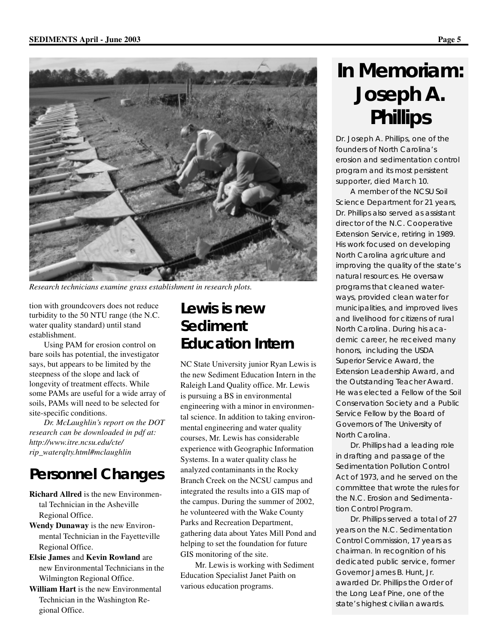

*Research technicians examine grass establishment in research plots.*

tion with groundcovers does not reduce turbidity to the 50 NTU range (the N.C. water quality standard) until stand establishment.

Using PAM for erosion control on bare soils has potential, the investigator says, but appears to be limited by the steepness of the slope and lack of longevity of treatment effects. While some PAMs are useful for a wide array of soils, PAMs will need to be selected for site-specific conditions.

*Dr. McLaughlin's report on the DOT research can be downloaded in pdf at: http://www.itre.ncsu.edu/cte/ rip\_waterqlty.html#mclaughlin*

### **Personnel Changes**

- **Richard Allred** is the new Environmental Technician in the Asheville Regional Office.
- **Wendy Dunaway** is the new Environmental Technician in the Fayetteville Regional Office.
- **Elsie James** and **Kevin Rowland** are new Environmental Technicians in the Wilmington Regional Office.
- **William Hart** is the new Environmental Technician in the Washington Regional Office.

### **Lewis is new Sediment Education Intern**

NC State University junior Ryan Lewis is the new Sediment Education Intern in the Raleigh Land Quality office. Mr. Lewis is pursuing a BS in environmental engineering with a minor in environmental science. In addition to taking environmental engineering and water quality courses, Mr. Lewis has considerable experience with Geographic Information Systems. In a water quality class he analyzed contaminants in the Rocky Branch Creek on the NCSU campus and integrated the results into a GIS map of the campus. During the summer of 2002, he volunteered with the Wake County Parks and Recreation Department, gathering data about Yates Mill Pond and helping to set the foundation for future GIS monitoring of the site.

Mr. Lewis is working with Sediment Education Specialist Janet Paith on various education programs.

## **In Memoriam: Joseph A. Phillips**

Dr. Joseph A. Phillips, one of the founders of North Carolina's erosion and sedimentation control program and its most persistent supporter, died March 10.

A member of the NCSU Soil Science Department for 21 years, Dr. Phillips also served as assistant director of the N.C. Cooperative Extension Service, retiring in 1989. His work focused on developing North Carolina agriculture and improving the quality of the state's natural resources. He oversaw programs that cleaned waterways, provided clean water for municipalities, and improved lives and livelihood for citizens of rural North Carolina. During his academic career, he received many honors, including the USDA Superior Service Award, the Extension Leadership Award, and the Outstanding Teacher Award. He was elected a Fellow of the Soil Conservation Society and a Public Service Fellow by the Board of Governors of The University of North Carolina.

Dr. Phillips had a leading role in drafting and passage of the Sedimentation Pollution Control Act of 1973, and he served on the committee that wrote the rules for the N.C. Erosion and Sedimentation Control Program.

Dr. Phillips served a total of 27 years on the N.C. Sedimentation Control Commission, 17 years as chairman. In recognition of his dedicated public service, former Governor James B. Hunt, Jr. awarded Dr. Phillips the Order of the Long Leaf Pine, one of the state's highest civilian awards.